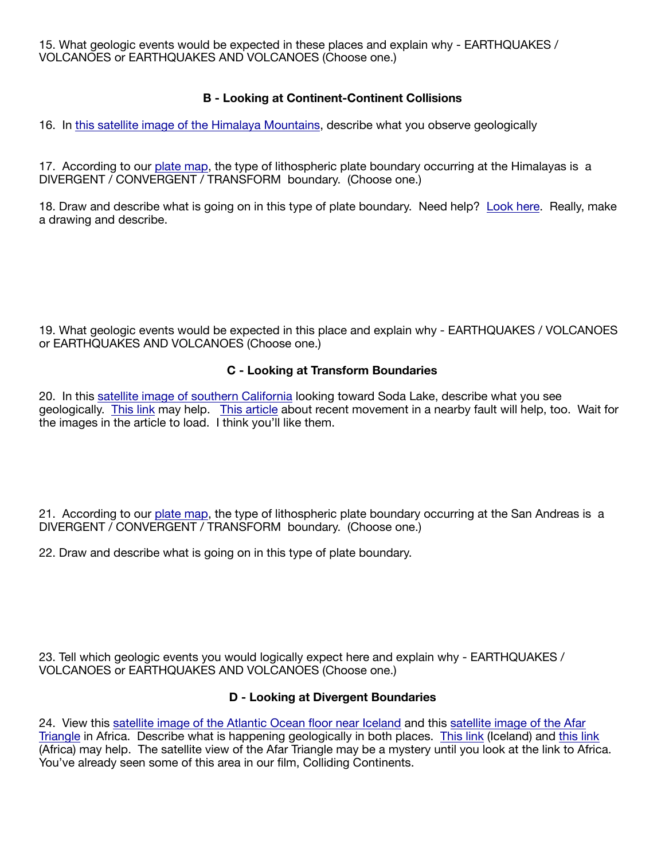15. What geologic events would be expected in these places and explain why - EARTHQUAKES / VOLCANOES or EARTHQUAKES AND VOLCANOES (Choose one.)

# **B - Looking at Continent-Continent Collisions**

16. In [this satellite image of the Himalaya Mountains,](https://www.google.com/maps/place/Himalayas/@28.148534,80.63617,3330231m/data=!3m1!1e3!4m5!3m4!1s0x3995b9ebef1235bd:0x3ae1297b70640201!8m2!3d28.5983159!4d83.9310623) describe what you observe geologically

17. According to our [plate map,](https://geology.com/plate-tectonics/plate-boundary-map-780.jpg) the type of lithospheric plate boundary occurring at the Himalayas is a DIVERGENT / CONVERGENT / TRANSFORM boundary. (Choose one.)

18. Draw and describe what is going on in this type of plate boundary. Need help? [Look here](https://en.wikipedia.org/wiki/Continental_collision). Really, make a drawing and describe.

19. What geologic events would be expected in this place and explain why - EARTHQUAKES / VOLCANOES or EARTHQUAKES AND VOLCANOES (Choose one.)

## **C - Looking at Transform Boundaries**

20. In this [satellite image of southern California](https://www.google.com/maps/place/San+Andreas+Fault/@35.086962,-119.5974168,47237m/data=!3m1!1e3!4m5!3m4!1s0x80811b5d59ecac9b:0x2475ce107d37ac6f!8m2!3d35.1361246!4d-119.6755697) looking toward Soda Lake, describe what you see geologically. [This link](https://en.wikipedia.org/wiki/San_Andreas_Fault) may help. [This article](https://www.latimes.com/california/story/2019-07-22/ridgecrest-earthquake-images-broken-ground) about recent movement in a nearby fault will help, too. Wait for the images in the article to load. I think you'll like them.

21. According to our [plate map,](https://geology.com/plate-tectonics/plate-boundary-map-780.jpg) the type of lithospheric plate boundary occurring at the San Andreas is a DIVERGENT / CONVERGENT / TRANSFORM boundary. (Choose one.)

22. Draw and describe what is going on in this type of plate boundary.

23. Tell which geologic events you would logically expect here and explain why - EARTHQUAKES / VOLCANOES or EARTHQUAKES AND VOLCANOES (Choose one.)

### **D - Looking at Divergent Boundaries**

24. View this [satellite image of the Atlantic Ocean floor near Iceland](https://www.google.com/maps/search/%C3%9Eingvellir/@52.3820321,-36.7428738,3337377m/data=!3m1!1e3) and this [satellite image of the Afar](https://www.google.com/maps/place/Afar,+Ethiopia/@11.4749243,37.7888818,3213960m/data=!3m1!1e3!4m5!3m4!1s0x1639c4360de5423b:0x9bdab063bf108a14!8m2!3d11.7559388!4d40.958688)  [Triangle](https://www.google.com/maps/place/Afar,+Ethiopia/@11.4749243,37.7888818,3213960m/data=!3m1!1e3!4m5!3m4!1s0x1639c4360de5423b:0x9bdab063bf108a14!8m2!3d11.7559388!4d40.958688) in Africa. Describe what is happening geologically in both places. [This link](https://en.wikipedia.org/wiki/Mid-Atlantic_Ridge) (Iceland) and [this link](https://en.wikipedia.org/wiki/Afar_Triangle#Geology) (Africa) may help. The satellite view of the Afar Triangle may be a mystery until you look at the link to Africa. You've already seen some of this area in our film, Colliding Continents.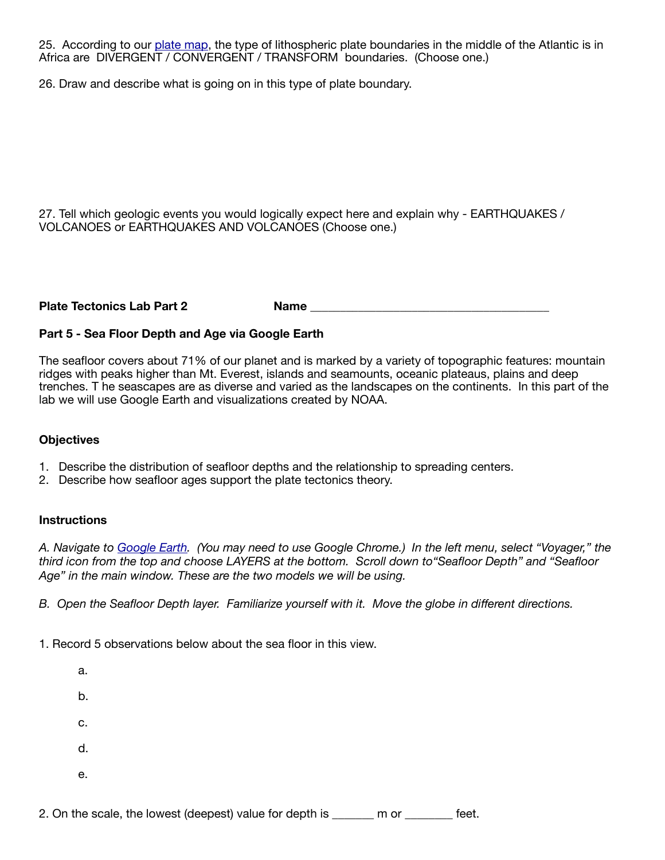25. According to our [plate map,](https://geology.com/plate-tectonics/plate-boundary-map-780.jpg) the type of lithospheric plate boundaries in the middle of the Atlantic is in Africa are DIVERGENT / CONVERGENT / TRANSFORM boundaries. (Choose one.)

26. Draw and describe what is going on in this type of plate boundary.

27. Tell which geologic events you would logically expect here and explain why - EARTHQUAKES / VOLCANOES or EARTHQUAKES AND VOLCANOES (Choose one.)

Plate Tectonics Lab Part 2 Name Name **Name** 

### **Part 5 - Sea Floor Depth and Age via Google Earth**

The seafloor covers about 71% of our planet and is marked by a variety of topographic features: mountain ridges with peaks higher than Mt. Everest, islands and seamounts, oceanic plateaus, plains and deep trenches. T he seascapes are as diverse and varied as the landscapes on the continents. In this part of the lab we will use Google Earth and visualizations created by NOAA.

#### **Objectives**

- 1. Describe the distribution of seafloor depths and the relationship to spreading centers.
- 2. Describe how seafloor ages support the plate tectonics theory.

#### **Instructions**

*A. Navigate to [Google Earth](https://earth.google.com/web/). (You may need to use Google Chrome.) In the left menu, select "Voyager," the third icon from the top and choose LAYERS at the bottom. Scroll down to"Seafloor Depth" and "Seafloor Age" in the main window. These are the two models we will be using.*

*B. Open the Seafloor Depth layer. Familiarize yourself with it. Move the globe in different directions.*

1. Record 5 observations below about the sea floor in this view.

a. b. c. d. e.

2. On the scale, the lowest (deepest) value for depth is \_\_\_\_\_\_ m or \_\_\_\_\_\_\_ feet.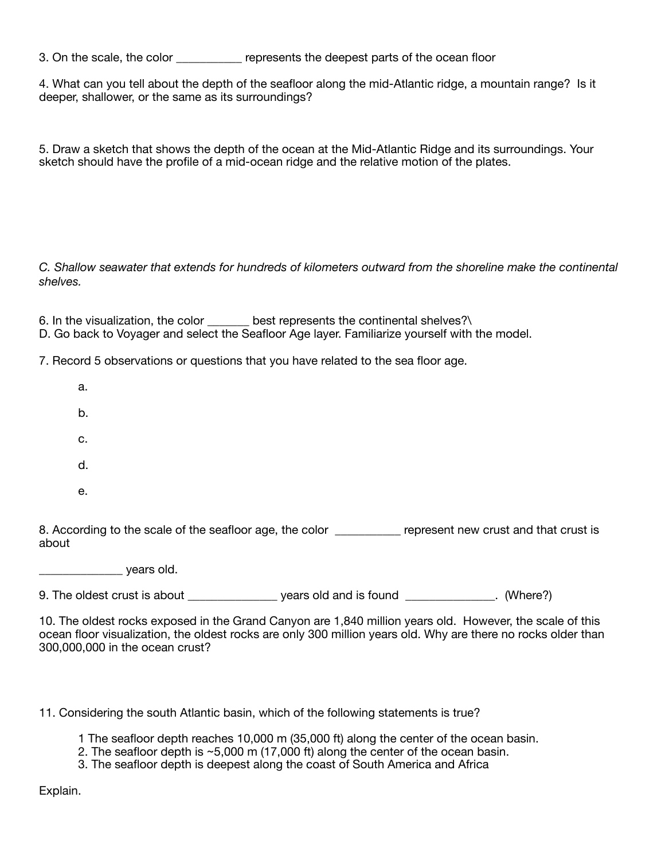3. On the scale, the color \_\_\_\_\_\_\_\_\_\_\_ represents the deepest parts of the ocean floor

4. What can you tell about the depth of the seafloor along the mid-Atlantic ridge, a mountain range? Is it deeper, shallower, or the same as its surroundings?

5. Draw a sketch that shows the depth of the ocean at the Mid-Atlantic Ridge and its surroundings. Your sketch should have the profile of a mid-ocean ridge and the relative motion of the plates.

*C. Shallow seawater that extends for hundreds of kilometers outward from the shoreline make the continental shelves.* 

6. In the visualization, the color \_\_\_\_\_\_ best represents the continental shelves?\ D. Go back to Voyager and select the Seafloor Age layer. Familiarize yourself with the model.

7. Record 5 observations or questions that you have related to the sea floor age.

| 8. According to the scale of the seafloor age, the color | represent new crust and that crust is |
|----------------------------------------------------------|---------------------------------------|
| е.                                                       |                                       |
| d.                                                       |                                       |
| c.                                                       |                                       |
| b.                                                       |                                       |
| a.                                                       |                                       |

\_\_\_\_\_\_\_\_\_\_\_\_\_\_ years old.

9. The oldest crust is about \_\_\_\_\_\_\_\_\_\_\_\_\_\_\_\_\_\_ years old and is found \_\_\_\_\_\_\_\_\_. (Where?)

10. The oldest rocks exposed in the Grand Canyon are 1,840 million years old. However, the scale of this ocean floor visualization, the oldest rocks are only 300 million years old. Why are there no rocks older than 300,000,000 in the ocean crust?

11. Considering the south Atlantic basin, which of the following statements is true?

1 The seafloor depth reaches 10,000 m (35,000 ft) along the center of the ocean basin.

- 2. The seafloor depth is ~5,000 m (17,000 ft) along the center of the ocean basin.
- 3. The seafloor depth is deepest along the coast of South America and Africa

Explain.